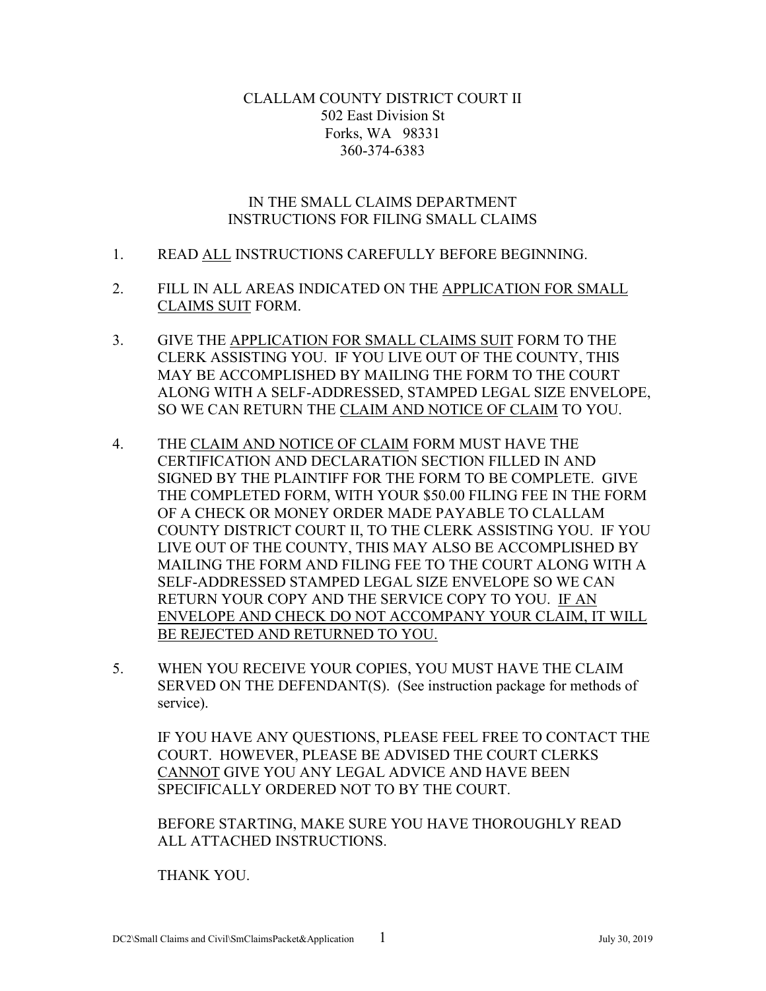#### CLALLAM COUNTY DISTRICT COURT II 502 East Division St Forks, WA 98331 360-374-6383

#### IN THE SMALL CLAIMS DEPARTMENT INSTRUCTIONS FOR FILING SMALL CLAIMS

- 1. READ ALL INSTRUCTIONS CAREFULLY BEFORE BEGINNING.
- 2. FILL IN ALL AREAS INDICATED ON THE APPLICATION FOR SMALL CLAIMS SUIT FORM.
- 3. GIVE THE APPLICATION FOR SMALL CLAIMS SUIT FORM TO THE CLERK ASSISTING YOU. IF YOU LIVE OUT OF THE COUNTY, THIS MAY BE ACCOMPLISHED BY MAILING THE FORM TO THE COURT ALONG WITH A SELF-ADDRESSED, STAMPED LEGAL SIZE ENVELOPE, SO WE CAN RETURN THE CLAIM AND NOTICE OF CLAIM TO YOU.
- 4. THE CLAIM AND NOTICE OF CLAIM FORM MUST HAVE THE CERTIFICATION AND DECLARATION SECTION FILLED IN AND SIGNED BY THE PLAINTIFF FOR THE FORM TO BE COMPLETE. GIVE THE COMPLETED FORM, WITH YOUR \$50.00 FILING FEE IN THE FORM OF A CHECK OR MONEY ORDER MADE PAYABLE TO CLALLAM COUNTY DISTRICT COURT II, TO THE CLERK ASSISTING YOU. IF YOU LIVE OUT OF THE COUNTY, THIS MAY ALSO BE ACCOMPLISHED BY MAILING THE FORM AND FILING FEE TO THE COURT ALONG WITH A SELF-ADDRESSED STAMPED LEGAL SIZE ENVELOPE SO WE CAN RETURN YOUR COPY AND THE SERVICE COPY TO YOU. IF AN ENVELOPE AND CHECK DO NOT ACCOMPANY YOUR CLAIM, IT WILL BE REJECTED AND RETURNED TO YOU.
- 5. WHEN YOU RECEIVE YOUR COPIES, YOU MUST HAVE THE CLAIM SERVED ON THE DEFENDANT(S). (See instruction package for methods of service).

IF YOU HAVE ANY QUESTIONS, PLEASE FEEL FREE TO CONTACT THE COURT. HOWEVER, PLEASE BE ADVISED THE COURT CLERKS CANNOT GIVE YOU ANY LEGAL ADVICE AND HAVE BEEN SPECIFICALLY ORDERED NOT TO BY THE COURT.

BEFORE STARTING, MAKE SURE YOU HAVE THOROUGHLY READ ALL ATTACHED INSTRUCTIONS.

THANK YOU.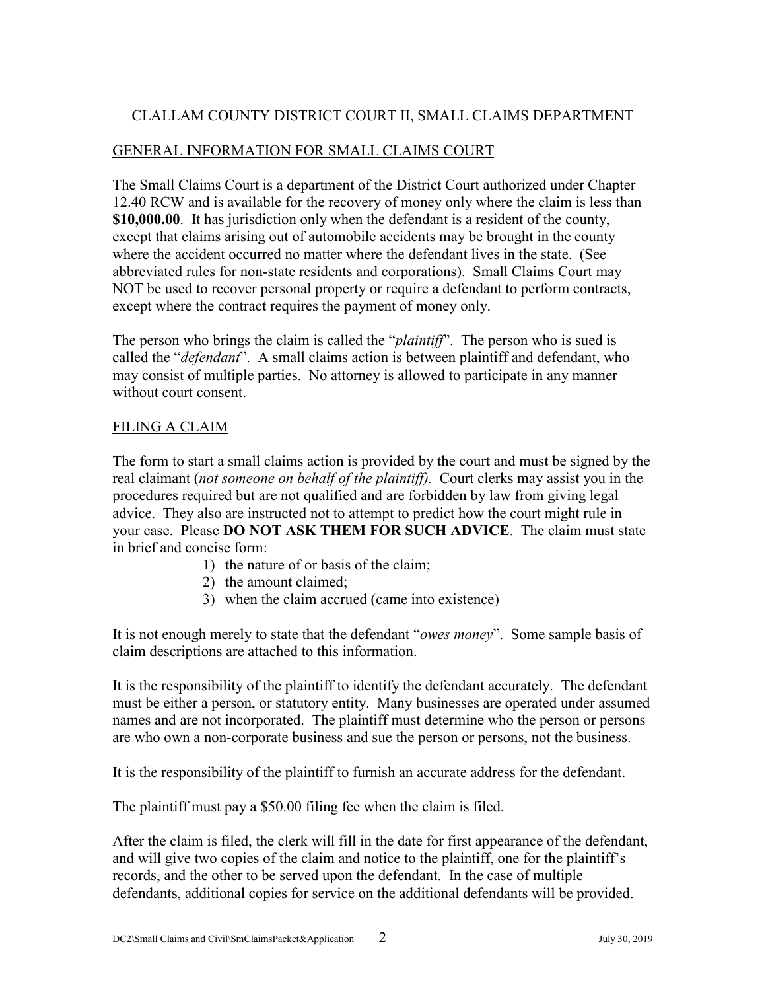# CLALLAM COUNTY DISTRICT COURT II, SMALL CLAIMS DEPARTMENT

## GENERAL INFORMATION FOR SMALL CLAIMS COURT

The Small Claims Court is a department of the District Court authorized under Chapter 12.40 RCW and is available for the recovery of money only where the claim is less than **\$10,000.00**. It has jurisdiction only when the defendant is a resident of the county, except that claims arising out of automobile accidents may be brought in the county where the accident occurred no matter where the defendant lives in the state. (See abbreviated rules for non-state residents and corporations). Small Claims Court may NOT be used to recover personal property or require a defendant to perform contracts, except where the contract requires the payment of money only.

The person who brings the claim is called the "*plaintiff*". The person who is sued is called the "*defendant*". A small claims action is between plaintiff and defendant, who may consist of multiple parties. No attorney is allowed to participate in any manner without court consent.

## FILING A CLAIM

The form to start a small claims action is provided by the court and must be signed by the real claimant (*not someone on behalf of the plaintiff).* Court clerks may assist you in the procedures required but are not qualified and are forbidden by law from giving legal advice. They also are instructed not to attempt to predict how the court might rule in your case. Please **DO NOT ASK THEM FOR SUCH ADVICE**. The claim must state in brief and concise form:

- 1) the nature of or basis of the claim;
- 2) the amount claimed;
- 3) when the claim accrued (came into existence)

It is not enough merely to state that the defendant "*owes money*". Some sample basis of claim descriptions are attached to this information.

It is the responsibility of the plaintiff to identify the defendant accurately. The defendant must be either a person, or statutory entity. Many businesses are operated under assumed names and are not incorporated. The plaintiff must determine who the person or persons are who own a non-corporate business and sue the person or persons, not the business.

It is the responsibility of the plaintiff to furnish an accurate address for the defendant.

The plaintiff must pay a \$50.00 filing fee when the claim is filed.

After the claim is filed, the clerk will fill in the date for first appearance of the defendant, and will give two copies of the claim and notice to the plaintiff, one for the plaintiff's records, and the other to be served upon the defendant. In the case of multiple defendants, additional copies for service on the additional defendants will be provided.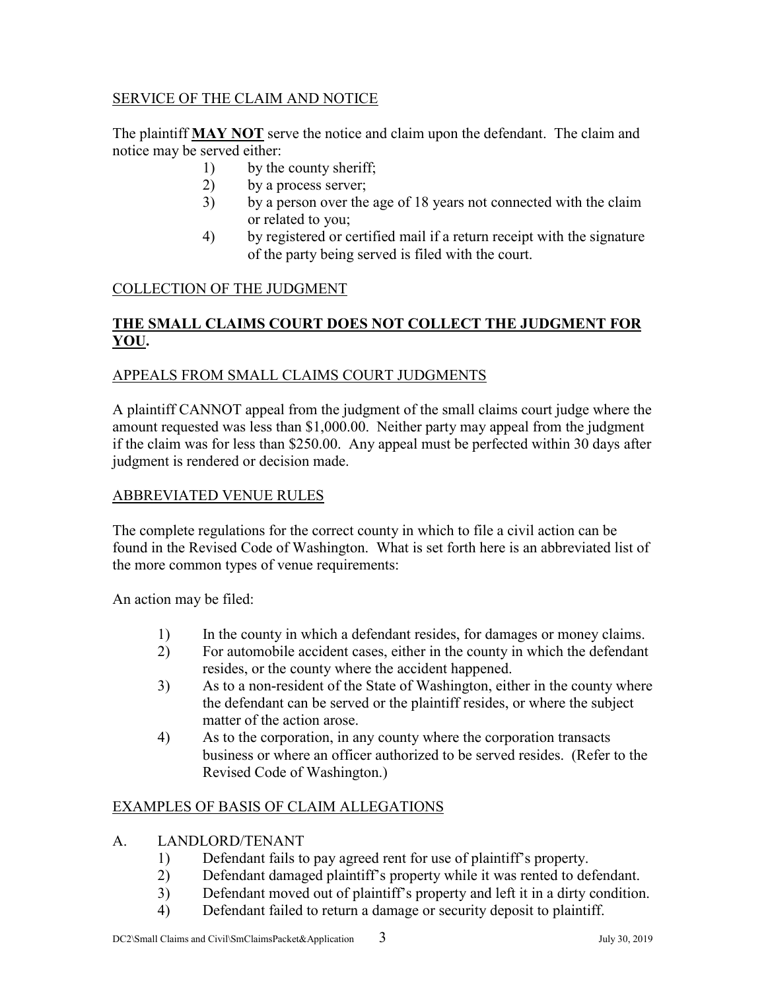## SERVICE OF THE CLAIM AND NOTICE

The plaintiff **MAY NOT** serve the notice and claim upon the defendant. The claim and notice may be served either:

- 1) by the county sheriff;
- 2) by a process server;
- 3) by a person over the age of 18 years not connected with the claim or related to you;
- 4) by registered or certified mail if a return receipt with the signature of the party being served is filed with the court.

## COLLECTION OF THE JUDGMENT

## **THE SMALL CLAIMS COURT DOES NOT COLLECT THE JUDGMENT FOR YOU.**

## APPEALS FROM SMALL CLAIMS COURT JUDGMENTS

A plaintiff CANNOT appeal from the judgment of the small claims court judge where the amount requested was less than \$1,000.00. Neither party may appeal from the judgment if the claim was for less than \$250.00. Any appeal must be perfected within 30 days after judgment is rendered or decision made.

#### ABBREVIATED VENUE RULES

The complete regulations for the correct county in which to file a civil action can be found in the Revised Code of Washington. What is set forth here is an abbreviated list of the more common types of venue requirements:

An action may be filed:

- 1) In the county in which a defendant resides, for damages or money claims.
- 2) For automobile accident cases, either in the county in which the defendant resides, or the county where the accident happened.
- 3) As to a non-resident of the State of Washington, either in the county where the defendant can be served or the plaintiff resides, or where the subject matter of the action arose.
- 4) As to the corporation, in any county where the corporation transacts business or where an officer authorized to be served resides. (Refer to the Revised Code of Washington.)

## EXAMPLES OF BASIS OF CLAIM ALLEGATIONS

- A. LANDLORD/TENANT
	- 1) Defendant fails to pay agreed rent for use of plaintiff's property.
	- 2) Defendant damaged plaintiff's property while it was rented to defendant.
	- 3) Defendant moved out of plaintiff's property and left it in a dirty condition.
	- 4) Defendant failed to return a damage or security deposit to plaintiff.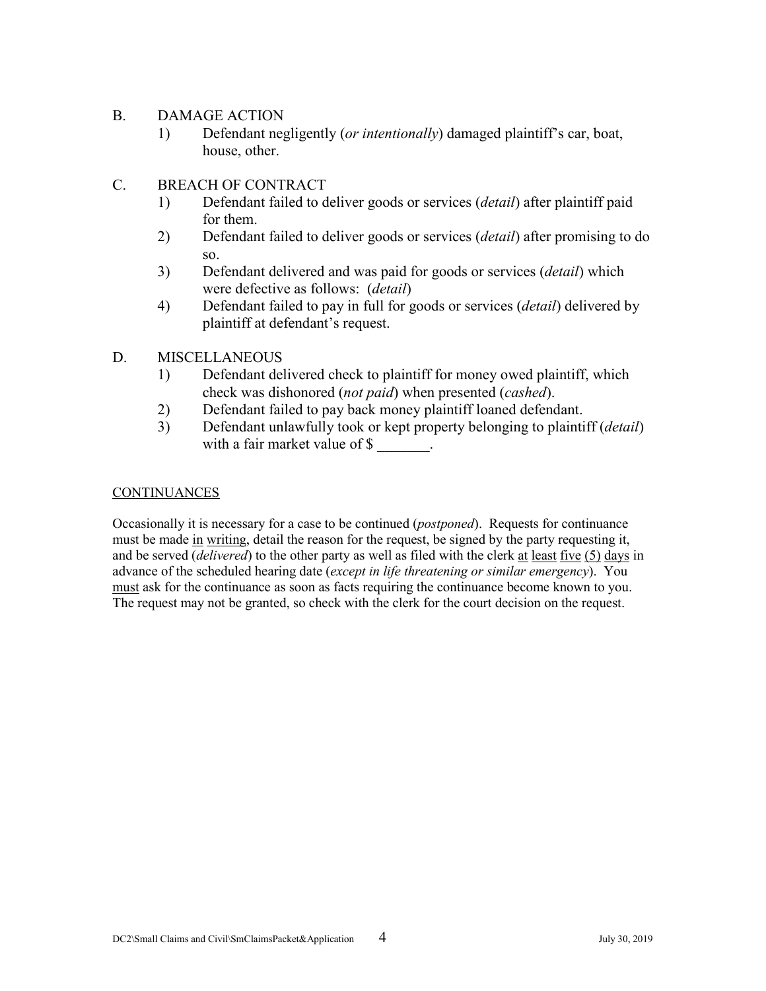#### B. DAMAGE ACTION

1) Defendant negligently (*or intentionally*) damaged plaintiff's car, boat, house, other.

#### C. BREACH OF CONTRACT

- 1) Defendant failed to deliver goods or services (*detail*) after plaintiff paid for them.
- 2) Defendant failed to deliver goods or services (*detail*) after promising to do so.
- 3) Defendant delivered and was paid for goods or services (*detail*) which were defective as follows: (*detail*)
- 4) Defendant failed to pay in full for goods or services (*detail*) delivered by plaintiff at defendant's request.

#### D. MISCELLANEOUS

- 1) Defendant delivered check to plaintiff for money owed plaintiff, which check was dishonored (*not paid*) when presented (*cashed*).
- 2) Defendant failed to pay back money plaintiff loaned defendant.
- 3) Defendant unlawfully took or kept property belonging to plaintiff (*detail*) with a fair market value of \$

#### **CONTINUANCES**

Occasionally it is necessary for a case to be continued (*postponed*). Requests for continuance must be made in writing, detail the reason for the request, be signed by the party requesting it, and be served (*delivered*) to the other party as well as filed with the clerk at least five (5) days in advance of the scheduled hearing date (*except in life threatening or similar emergency*). You must ask for the continuance as soon as facts requiring the continuance become known to you. The request may not be granted, so check with the clerk for the court decision on the request.